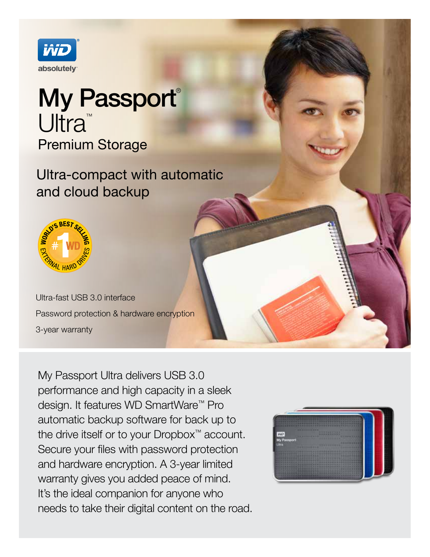

## My Passport® Ultra<sup>™</sup> Premium Storage

Ultra-compact with automatic and cloud backup



Ultra-fast USB 3.0 interface Password protection & hardware encryption 3-year warranty

My Passport Ultra delivers USB 3.0 performance and high capacity in a sleek design. It features WD SmartWare™ Pro automatic backup software for back up to the drive itself or to your Dropbox™ account. Secure your files with password protection and hardware encryption. A 3-year limited warranty gives you added peace of mind. It's the ideal companion for anyone who needs to take their digital content on the road.